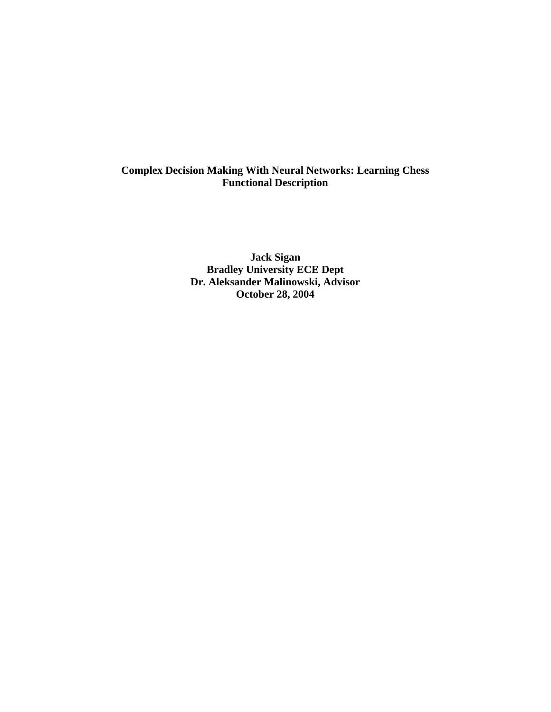## **Complex Decision Making With Neural Networks: Learning Chess Functional Description**

**Jack Sigan Bradley University ECE Dept Dr. Aleksander Malinowski, Advisor October 28, 2004**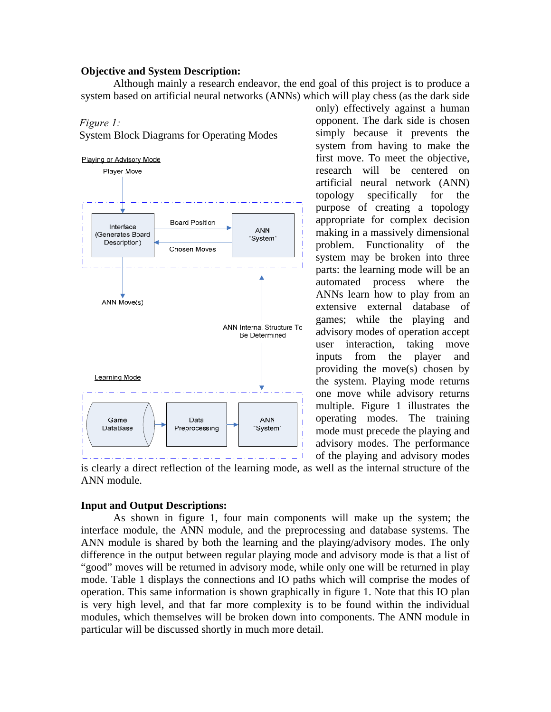### **Objective and System Description:**

 Although mainly a research endeavor, the end goal of this project is to produce a system based on artificial neural networks (ANNs) which will play chess (as the dark side

#### *Figure 1:*

System Block Diagrams for Operating Modes



only) effectively against a human opponent. The dark side is chosen simply because it prevents the system from having to make the first move. To meet the objective, research will be centered on artificial neural network (ANN) topology specifically for the purpose of creating a topology appropriate for complex decision making in a massively dimensional problem. Functionality of the system may be broken into three parts: the learning mode will be an automated process where the ANNs learn how to play from an extensive external database of games; while the playing and advisory modes of operation accept user interaction, taking move inputs from the player and providing the move(s) chosen by the system. Playing mode returns one move while advisory returns multiple. Figure 1 illustrates the operating modes. The training mode must precede the playing and advisory modes. The performance of the playing and advisory modes

is clearly a direct reflection of the learning mode, as well as the internal structure of the ANN module.

### **Input and Output Descriptions:**

 As shown in figure 1, four main components will make up the system; the interface module, the ANN module, and the preprocessing and database systems. The ANN module is shared by both the learning and the playing/advisory modes. The only difference in the output between regular playing mode and advisory mode is that a list of "good" moves will be returned in advisory mode, while only one will be returned in play mode. Table 1 displays the connections and IO paths which will comprise the modes of operation. This same information is shown graphically in figure 1. Note that this IO plan is very high level, and that far more complexity is to be found within the individual modules, which themselves will be broken down into components. The ANN module in particular will be discussed shortly in much more detail.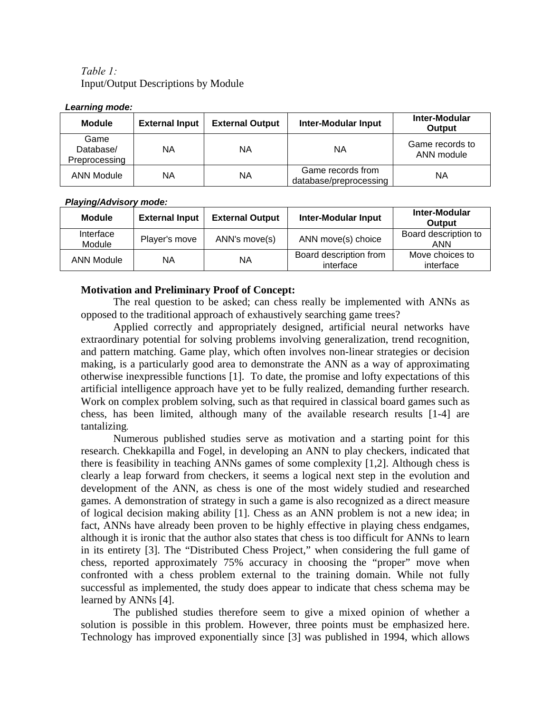# *Table 1:* Input/Output Descriptions by Module

| Lcarmly mouc.<br><b>Module</b>     | <b>External Input</b> | <b>External Output</b> | <b>Inter-Modular Input</b>                  | Inter-Modular<br><b>Output</b> |
|------------------------------------|-----------------------|------------------------|---------------------------------------------|--------------------------------|
| Game<br>Database/<br>Preprocessing | ΝA                    | ΝA                     | ΝA                                          | Game records to<br>ANN module  |
| <b>ANN Module</b>                  | ΝA                    | ΝA                     | Game records from<br>database/preprocessing | ΝA                             |

### *Learning mode:*

### *Playing/Advisory mode:*

| <b>Module</b>       | <b>External Input</b> | <b>External Output</b> | <b>Inter-Modular Input</b>          | Inter-Modular<br><b>Output</b> |
|---------------------|-----------------------|------------------------|-------------------------------------|--------------------------------|
| Interface<br>Module | Player's move         | ANN's move(s)          | ANN move(s) choice                  | Board description to<br>ANN    |
| <b>ANN Module</b>   | ΝA                    | ΝA                     | Board description from<br>interface | Move choices to<br>interface   |

### **Motivation and Preliminary Proof of Concept:**

 The real question to be asked; can chess really be implemented with ANNs as opposed to the traditional approach of exhaustively searching game trees?

Applied correctly and appropriately designed, artificial neural networks have extraordinary potential for solving problems involving generalization, trend recognition, and pattern matching. Game play, which often involves non-linear strategies or decision making, is a particularly good area to demonstrate the ANN as a way of approximating otherwise inexpressible functions [1]. To date, the promise and lofty expectations of this artificial intelligence approach have yet to be fully realized, demanding further research. Work on complex problem solving, such as that required in classical board games such as chess, has been limited, although many of the available research results [1-4] are tantalizing*.* 

Numerous published studies serve as motivation and a starting point for this research. Chekkapilla and Fogel, in developing an ANN to play checkers, indicated that there is feasibility in teaching ANNs games of some complexity [1,2]. Although chess is clearly a leap forward from checkers, it seems a logical next step in the evolution and development of the ANN, as chess is one of the most widely studied and researched games. A demonstration of strategy in such a game is also recognized as a direct measure of logical decision making ability [1]. Chess as an ANN problem is not a new idea; in fact, ANNs have already been proven to be highly effective in playing chess endgames, although it is ironic that the author also states that chess is too difficult for ANNs to learn in its entirety [3]. The "Distributed Chess Project," when considering the full game of chess, reported approximately 75% accuracy in choosing the "proper" move when confronted with a chess problem external to the training domain. While not fully successful as implemented, the study does appear to indicate that chess schema may be learned by ANNs [4].

The published studies therefore seem to give a mixed opinion of whether a solution is possible in this problem. However, three points must be emphasized here. Technology has improved exponentially since [3] was published in 1994, which allows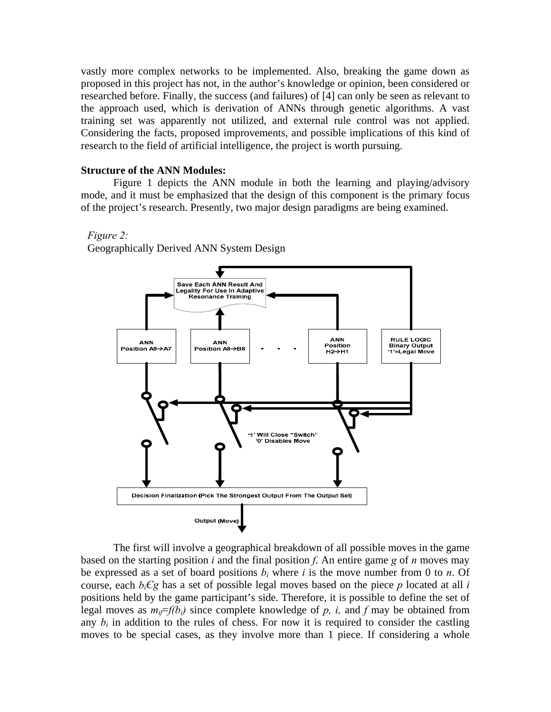vastly more complex networks to be implemented. Also, breaking the game down as proposed in this project has not, in the author's knowledge or opinion, been considered or researched before. Finally, the success (and failures) of [4] can only be seen as relevant to the approach used, which is derivation of ANNs through genetic algorithms. A vast training set was apparently not utilized, and external rule control was not applied. Considering the facts, proposed improvements, and possible implications of this kind of research to the field of artificial intelligence, the project is worth pursuing.

### **Structure of the ANN Modules:**

Figure 1 depicts the ANN module in both the learning and playing/advisory mode, and it must be emphasized that the design of this component is the primary focus of the project's research. Presently, two major design paradigms are being examined.

#### *Figure 2:*

Geographically Derived ANN System Design



The first will involve a geographical breakdown of all possible moves in the game based on the starting position *i* and the final position *f*. An entire game *g* of *n* moves may be expressed as a set of board positions  $b_i$  where *i* is the move number from 0 to *n*. Of course, each  $b_iCg$  has a set of possible legal moves based on the piece p located at all *i* positions held by the game participant's side. Therefore, it is possible to define the set of legal moves as  $m_i = f(b_i)$  since complete knowledge of p, i, and f may be obtained from any  $b_i$  in addition to the rules of chess. For now it is required to consider the castling moves to be special cases, as they involve more than 1 piece. If considering a whole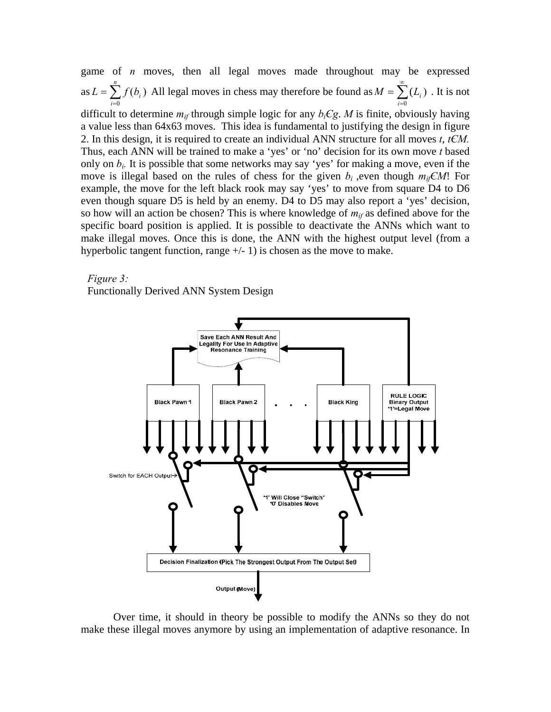game of *n* moves, then all legal moves made throughout may be expressed as  $L = \sum_{i=0}^{ } f(b_i)$ *n i*  $L = \sum f(b_i)$  $\sum_{i=0}^{\infty} f(b_i)$  All legal moves in chess may therefore be found as  $M = \sum_{i=0}^{\infty}$ =  $=\sum_{i}(L_{i})$ 0 ( *i*  $M = \sum_{i} (L_i)$ . It is not difficult to determine  $m_{if}$  through simple logic for any  $b_iCg$ . *M* is finite, obviously having a value less than 64x63 moves. This idea is fundamental to justifying the design in figure 2. In this design, it is required to create an individual ANN structure for all moves *t*, *tЄM.* Thus, each ANN will be trained to make a 'yes' or 'no' decision for its own move *t* based only on  $b_i$ . It is possible that some networks may say 'yes' for making a move, even if the move is illegal based on the rules of chess for the given  $b_i$ , even though  $m_i \in M!$  For example, the move for the left black rook may say 'yes' to move from square D4 to D6 even though square D5 is held by an enemy. D4 to D5 may also report a 'yes' decision, so how will an action be chosen? This is where knowledge of  $m_{if}$  as defined above for the specific board position is applied. It is possible to deactivate the ANNs which want to make illegal moves. Once this is done, the ANN with the highest output level (from a hyperbolic tangent function, range  $+/- 1$ ) is chosen as the move to make.

*Figure 3:* 

Functionally Derived ANN System Design



Over time, it should in theory be possible to modify the ANNs so they do not make these illegal moves anymore by using an implementation of adaptive resonance. In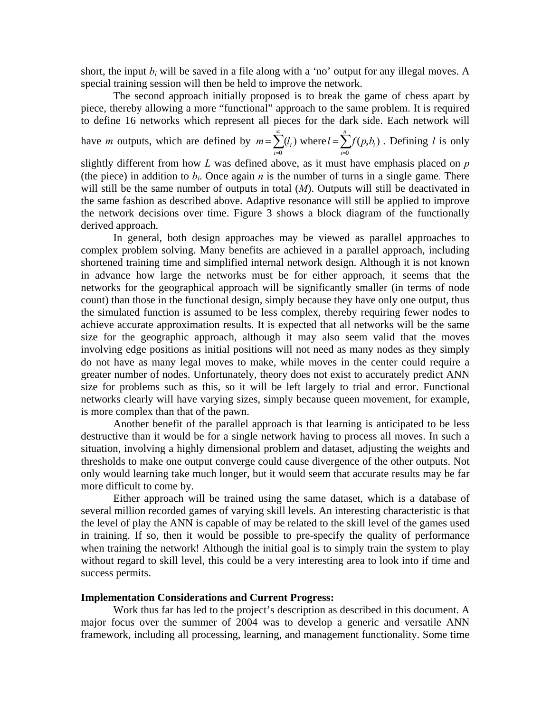short, the input  $b_i$  will be saved in a file along with a 'no' output for any illegal moves. A special training session will then be held to improve the network.

 The second approach initially proposed is to break the game of chess apart by piece, thereby allowing a more "functional" approach to the same problem. It is required to define 16 networks which represent all pieces for the dark side. Each network will

have *m* outputs, which are defined by  $m = \sum^{\infty}$ =  $=\sum_{i}(l_{i})$ 0 (  $m = \sum_{i=0}^{\infty} (l_i)$  where  $l = \sum_{i=0}^{n} f(p, b_i)$ *i*  $l = \sum f(p, b_i)$ 0  $(p, b)$ . Defining *l* is only

slightly different from how *L* was defined above, as it must have emphasis placed on *p*  (the piece) in addition to  $b_i$ . Once again *n* is the number of turns in a single game. There will still be the same number of outputs in total (*M*). Outputs will still be deactivated in the same fashion as described above. Adaptive resonance will still be applied to improve the network decisions over time. Figure 3 shows a block diagram of the functionally derived approach.

In general, both design approaches may be viewed as parallel approaches to complex problem solving. Many benefits are achieved in a parallel approach, including shortened training time and simplified internal network design. Although it is not known in advance how large the networks must be for either approach, it seems that the networks for the geographical approach will be significantly smaller (in terms of node count) than those in the functional design, simply because they have only one output, thus the simulated function is assumed to be less complex, thereby requiring fewer nodes to achieve accurate approximation results. It is expected that all networks will be the same size for the geographic approach, although it may also seem valid that the moves involving edge positions as initial positions will not need as many nodes as they simply do not have as many legal moves to make, while moves in the center could require a greater number of nodes. Unfortunately, theory does not exist to accurately predict ANN size for problems such as this, so it will be left largely to trial and error. Functional networks clearly will have varying sizes, simply because queen movement, for example, is more complex than that of the pawn.

 Another benefit of the parallel approach is that learning is anticipated to be less destructive than it would be for a single network having to process all moves. In such a situation, involving a highly dimensional problem and dataset, adjusting the weights and thresholds to make one output converge could cause divergence of the other outputs. Not only would learning take much longer, but it would seem that accurate results may be far more difficult to come by.

Either approach will be trained using the same dataset, which is a database of several million recorded games of varying skill levels. An interesting characteristic is that the level of play the ANN is capable of may be related to the skill level of the games used in training. If so, then it would be possible to pre-specify the quality of performance when training the network! Although the initial goal is to simply train the system to play without regard to skill level, this could be a very interesting area to look into if time and success permits.

### **Implementation Considerations and Current Progress:**

Work thus far has led to the project's description as described in this document. A major focus over the summer of 2004 was to develop a generic and versatile ANN framework, including all processing, learning, and management functionality. Some time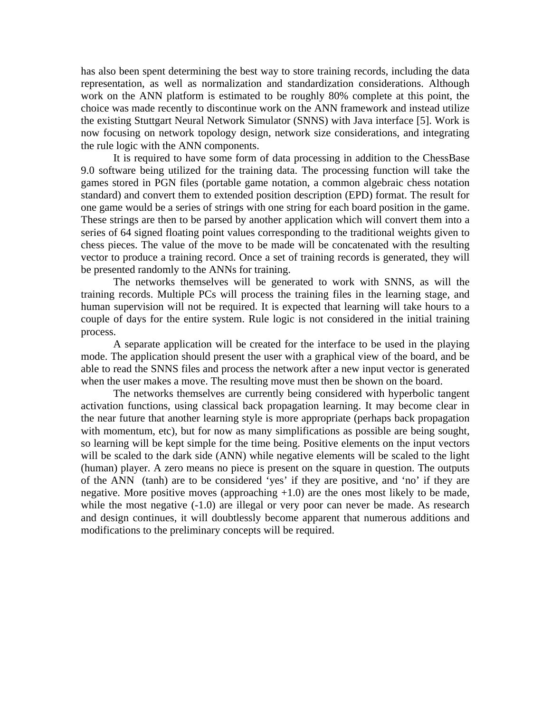has also been spent determining the best way to store training records, including the data representation, as well as normalization and standardization considerations. Although work on the ANN platform is estimated to be roughly 80% complete at this point, the choice was made recently to discontinue work on the ANN framework and instead utilize the existing Stuttgart Neural Network Simulator (SNNS) with Java interface [5]. Work is now focusing on network topology design, network size considerations, and integrating the rule logic with the ANN components.

 It is required to have some form of data processing in addition to the ChessBase 9.0 software being utilized for the training data. The processing function will take the games stored in PGN files (portable game notation, a common algebraic chess notation standard) and convert them to extended position description (EPD) format. The result for one game would be a series of strings with one string for each board position in the game. These strings are then to be parsed by another application which will convert them into a series of 64 signed floating point values corresponding to the traditional weights given to chess pieces. The value of the move to be made will be concatenated with the resulting vector to produce a training record. Once a set of training records is generated, they will be presented randomly to the ANNs for training.

 The networks themselves will be generated to work with SNNS, as will the training records. Multiple PCs will process the training files in the learning stage, and human supervision will not be required. It is expected that learning will take hours to a couple of days for the entire system. Rule logic is not considered in the initial training process.

 A separate application will be created for the interface to be used in the playing mode. The application should present the user with a graphical view of the board, and be able to read the SNNS files and process the network after a new input vector is generated when the user makes a move. The resulting move must then be shown on the board.

 The networks themselves are currently being considered with hyperbolic tangent activation functions, using classical back propagation learning. It may become clear in the near future that another learning style is more appropriate (perhaps back propagation with momentum, etc), but for now as many simplifications as possible are being sought, so learning will be kept simple for the time being. Positive elements on the input vectors will be scaled to the dark side (ANN) while negative elements will be scaled to the light (human) player. A zero means no piece is present on the square in question. The outputs of the ANN (tanh) are to be considered 'yes' if they are positive, and 'no' if they are negative. More positive moves (approaching  $+1.0$ ) are the ones most likely to be made, while the most negative (-1.0) are illegal or very poor can never be made. As research and design continues, it will doubtlessly become apparent that numerous additions and modifications to the preliminary concepts will be required.